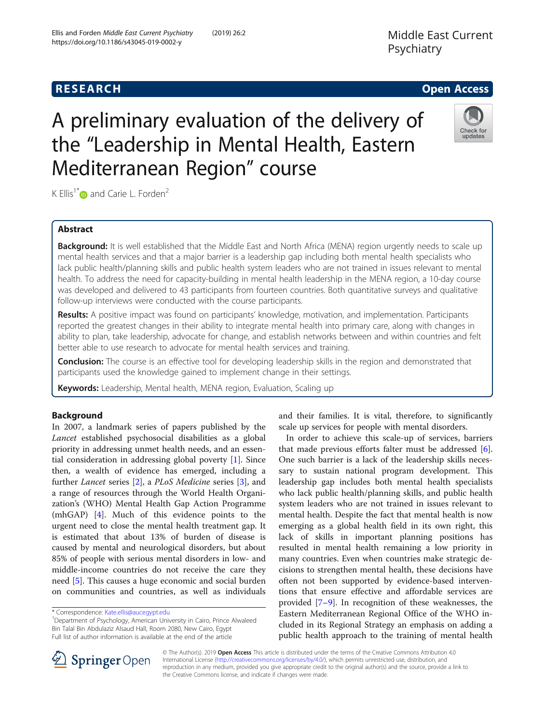A preliminary evaluation of the delivery of

# Middle East Current Psychiatry

## **RESEARCH CHE Open Access**

# Check for updates

# the "Leadership in Mental Health, Eastern Mediterranean Region" course

K Ellis<sup>1\*</sup> $\omega$  and Carie L. Forden<sup>2</sup>

## Abstract

Background: It is well established that the Middle East and North Africa (MENA) region urgently needs to scale up mental health services and that a major barrier is a leadership gap including both mental health specialists who lack public health/planning skills and public health system leaders who are not trained in issues relevant to mental health. To address the need for capacity-building in mental health leadership in the MENA region, a 10-day course was developed and delivered to 43 participants from fourteen countries. Both quantitative surveys and qualitative follow-up interviews were conducted with the course participants.

Results: A positive impact was found on participants' knowledge, motivation, and implementation. Participants reported the greatest changes in their ability to integrate mental health into primary care, along with changes in ability to plan, take leadership, advocate for change, and establish networks between and within countries and felt better able to use research to advocate for mental health services and training.

**Conclusion:** The course is an effective tool for developing leadership skills in the region and demonstrated that participants used the knowledge gained to implement change in their settings.

Keywords: Leadership, Mental health, MENA region, Evaluation, Scaling up

## Background

In 2007, a landmark series of papers published by the Lancet established psychosocial disabilities as a global priority in addressing unmet health needs, and an essential consideration in addressing global poverty [[1\]](#page-6-0). Since then, a wealth of evidence has emerged, including a further Lancet series [[2\]](#page-6-0), a PLoS Medicine series [\[3\]](#page-6-0), and a range of resources through the World Health Organization's (WHO) Mental Health Gap Action Programme (mhGAP) [[4\]](#page-6-0). Much of this evidence points to the urgent need to close the mental health treatment gap. It is estimated that about 13% of burden of disease is caused by mental and neurological disorders, but about 85% of people with serious mental disorders in low- and middle-income countries do not receive the care they need [\[5](#page-6-0)]. This causes a huge economic and social burden on communities and countries, as well as individuals

<sup>1</sup>Department of Psychology, American University in Cairo, Prince Alwaleed Bin Talal Bin Abdulaziz Alsaud Hall, Room 2080, New Cairo, Egypt Full list of author information is available at the end of the article

and their families. It is vital, therefore, to significantly scale up services for people with mental disorders.

In order to achieve this scale-up of services, barriers that made previous efforts falter must be addressed [\[6](#page-6-0)]. One such barrier is a lack of the leadership skills necessary to sustain national program development. This leadership gap includes both mental health specialists who lack public health/planning skills, and public health system leaders who are not trained in issues relevant to mental health. Despite the fact that mental health is now emerging as a global health field in its own right, this lack of skills in important planning positions has resulted in mental health remaining a low priority in many countries. Even when countries make strategic decisions to strengthen mental health, these decisions have often not been supported by evidence-based interventions that ensure effective and affordable services are provided [[7](#page-6-0)–[9\]](#page-6-0). In recognition of these weaknesses, the Eastern Mediterranean Regional Office of the WHO included in its Regional Strategy an emphasis on adding a public health approach to the training of mental health



© The Author(s). 2019 Open Access This article is distributed under the terms of the Creative Commons Attribution 4.0 International License ([http://creativecommons.org/licenses/by/4.0/\)](http://creativecommons.org/licenses/by/4.0/), which permits unrestricted use, distribution, and reproduction in any medium, provided you give appropriate credit to the original author(s) and the source, provide a link to the Creative Commons license, and indicate if changes were made.

<sup>\*</sup> Correspondence: [Kate.ellis@aucegypt.edu](mailto:Kate.ellis@aucegypt.edu) <sup>1</sup>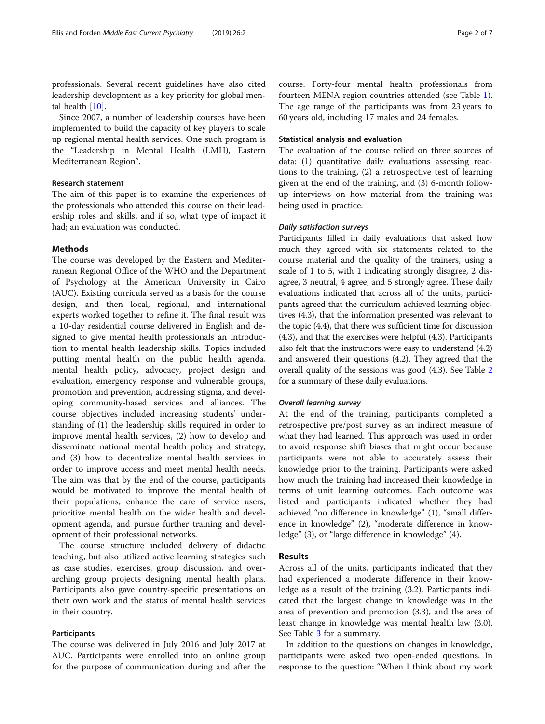professionals. Several recent guidelines have also cited

leadership development as a key priority for global mental health [\[10\]](#page-6-0).

Since 2007, a number of leadership courses have been implemented to build the capacity of key players to scale up regional mental health services. One such program is the "Leadership in Mental Health (LMH), Eastern Mediterranean Region".

#### Research statement

The aim of this paper is to examine the experiences of the professionals who attended this course on their leadership roles and skills, and if so, what type of impact it had; an evaluation was conducted.

#### **Methods**

The course was developed by the Eastern and Mediterranean Regional Office of the WHO and the Department of Psychology at the American University in Cairo (AUC). Existing curricula served as a basis for the course design, and then local, regional, and international experts worked together to refine it. The final result was a 10-day residential course delivered in English and designed to give mental health professionals an introduction to mental health leadership skills. Topics included putting mental health on the public health agenda, mental health policy, advocacy, project design and evaluation, emergency response and vulnerable groups, promotion and prevention, addressing stigma, and developing community-based services and alliances. The course objectives included increasing students' understanding of (1) the leadership skills required in order to improve mental health services, (2) how to develop and disseminate national mental health policy and strategy, and (3) how to decentralize mental health services in order to improve access and meet mental health needs. The aim was that by the end of the course, participants would be motivated to improve the mental health of their populations, enhance the care of service users, prioritize mental health on the wider health and development agenda, and pursue further training and development of their professional networks.

The course structure included delivery of didactic teaching, but also utilized active learning strategies such as case studies, exercises, group discussion, and overarching group projects designing mental health plans. Participants also gave country-specific presentations on their own work and the status of mental health services in their country.

#### Participants

The course was delivered in July 2016 and July 2017 at AUC. Participants were enrolled into an online group for the purpose of communication during and after the course. Forty-four mental health professionals from fourteen MENA region countries attended (see Table [1](#page-2-0)). The age range of the participants was from 23 years to 60 years old, including 17 males and 24 females.

#### Statistical analysis and evaluation

The evaluation of the course relied on three sources of data: (1) quantitative daily evaluations assessing reactions to the training, (2) a retrospective test of learning given at the end of the training, and (3) 6-month followup interviews on how material from the training was being used in practice.

Participants filled in daily evaluations that asked how much they agreed with six statements related to the course material and the quality of the trainers, using a scale of 1 to 5, with 1 indicating strongly disagree, 2 disagree, 3 neutral, 4 agree, and 5 strongly agree. These daily evaluations indicated that across all of the units, participants agreed that the curriculum achieved learning objectives (4.3), that the information presented was relevant to the topic (4.4), that there was sufficient time for discussion (4.3), and that the exercises were helpful (4.3). Participants also felt that the instructors were easy to understand (4.2) and answered their questions (4.2). They agreed that the overall quality of the sessions was good (4.3). See Table [2](#page-2-0) for a summary of these daily evaluations.

At the end of the training, participants completed a retrospective pre/post survey as an indirect measure of what they had learned. This approach was used in order to avoid response shift biases that might occur because participants were not able to accurately assess their knowledge prior to the training. Participants were asked how much the training had increased their knowledge in terms of unit learning outcomes. Each outcome was listed and participants indicated whether they had achieved "no difference in knowledge" (1), "small difference in knowledge" (2), "moderate difference in knowledge" (3), or "large difference in knowledge" (4).

#### Results

Across all of the units, participants indicated that they had experienced a moderate difference in their knowledge as a result of the training (3.2). Participants indicated that the largest change in knowledge was in the area of prevention and promotion (3.3), and the area of least change in knowledge was mental health law (3.0). See Table [3](#page-3-0) for a summary.

In addition to the questions on changes in knowledge, participants were asked two open-ended questions. In response to the question: "When I think about my work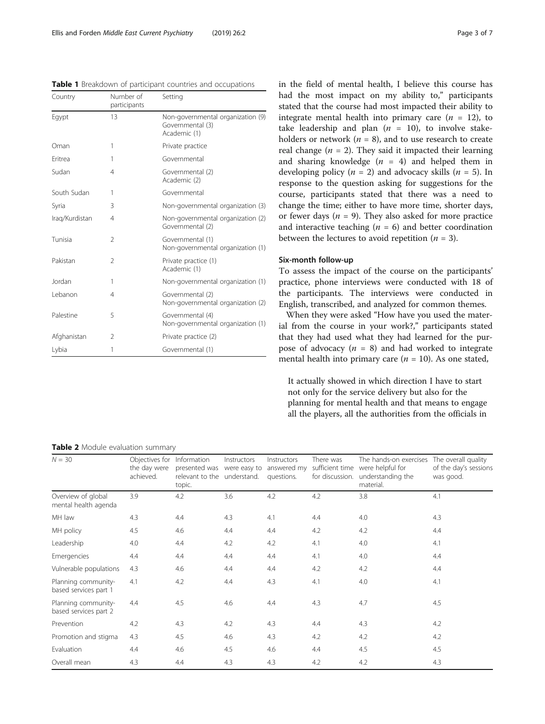<span id="page-2-0"></span>Table 1 Breakdown of participant countries and occupations

| Country        | Number of<br>participants | Setting                                                               |
|----------------|---------------------------|-----------------------------------------------------------------------|
| Egypt          | 13                        | Non-governmental organization (9)<br>Governmental (3)<br>Academic (1) |
| Oman           | 1                         | Private practice                                                      |
| Eritrea        | 1                         | Governmental                                                          |
| Sudan          | 4                         | Governmental (2)<br>Academic (2)                                      |
| South Sudan    | 1                         | Governmental                                                          |
| Syria          | 3                         | Non-governmental organization (3)                                     |
| Iraq/Kurdistan | 4                         | Non-governmental organization (2)<br>Governmental (2)                 |
| Tunisia        | 2                         | Governmental (1)<br>Non-governmental organization (1)                 |
| Pakistan       | $\mathfrak{D}$            | Private practice (1)<br>Academic (1)                                  |
| Jordan         | 1                         | Non-governmental organization (1)                                     |
| Lebanon        | 4                         | Governmental (2)<br>Non-governmental organization (2)                 |
| Palestine      | 5                         | Governmental (4)<br>Non-governmental organization (1)                 |
| Afghanistan    | $\mathfrak{D}$            | Private practice (2)                                                  |
| Lybia          | 1                         | Governmental (1)                                                      |

in the field of mental health, I believe this course has had the most impact on my ability to," participants stated that the course had most impacted their ability to integrate mental health into primary care  $(n = 12)$ , to take leadership and plan  $(n = 10)$ , to involve stakeholders or network ( $n = 8$ ), and to use research to create real change ( $n = 2$ ). They said it impacted their learning and sharing knowledge  $(n = 4)$  and helped them in developing policy ( $n = 2$ ) and advocacy skills ( $n = 5$ ). In response to the question asking for suggestions for the course, participants stated that there was a need to change the time; either to have more time, shorter days, or fewer days ( $n = 9$ ). They also asked for more practice and interactive teaching ( $n = 6$ ) and better coordination between the lectures to avoid repetition ( $n = 3$ ).

#### Six-month follow-up

To assess the impact of the course on the participants' practice, phone interviews were conducted with 18 of the participants. The interviews were conducted in English, transcribed, and analyzed for common themes.

When they were asked "How have you used the material from the course in your work?," participants stated that they had used what they had learned for the purpose of advocacy ( $n = 8$ ) and had worked to integrate mental health into primary care ( $n = 10$ ). As one stated,

It actually showed in which direction I have to start not only for the service delivery but also for the planning for mental health and that means to engage all the players, all the authorities from the officials in

**Table 2** Module evaluation summary

| $N = 30$                                     | Objectives for<br>the day were<br>achieved. | Information<br>presented was were easy to<br>relevant to the understand.<br>topic. | Instructors | Instructors<br>answered my<br>questions. | There was<br>sufficient time<br>for discussion. | The hands-on exercises<br>were helpful for<br>understanding the<br>material. | The overall quality<br>of the day's sessions<br>was good. |
|----------------------------------------------|---------------------------------------------|------------------------------------------------------------------------------------|-------------|------------------------------------------|-------------------------------------------------|------------------------------------------------------------------------------|-----------------------------------------------------------|
| Overview of global<br>mental health agenda   | 3.9                                         | 4.2                                                                                | 3.6         | 4.2                                      | 4.2                                             | 3.8                                                                          | 4.1                                                       |
| MH law                                       | 4.3                                         | 4.4                                                                                | 4.3         | 4.1                                      | 4.4                                             | 4.0                                                                          | 4.3                                                       |
| MH policy                                    | 4.5                                         | 4.6                                                                                | 4.4         | 4.4                                      | 4.2                                             | 4.2                                                                          | 4.4                                                       |
| Leadership                                   | 4.0                                         | 4.4                                                                                | 4.2         | 4.2                                      | 4.1                                             | 4.0                                                                          | 4.1                                                       |
| Emergencies                                  | 4.4                                         | 4.4                                                                                | 4.4         | 4.4                                      | 4.1                                             | 4.0                                                                          | 4.4                                                       |
| Vulnerable populations                       | 4.3                                         | 4.6                                                                                | 4.4         | 4.4                                      | 4.2                                             | 4.2                                                                          | 4.4                                                       |
| Planning community-<br>based services part 1 | 4.1                                         | 4.2                                                                                | 4.4         | 4.3                                      | 4.1                                             | 4.0                                                                          | 4.1                                                       |
| Planning community-<br>based services part 2 | 4.4                                         | 4.5                                                                                | 4.6         | 4.4                                      | 4.3                                             | 4.7                                                                          | 4.5                                                       |
| Prevention                                   | 4.2                                         | 4.3                                                                                | 4.2         | 4.3                                      | 4.4                                             | 4.3                                                                          | 4.2                                                       |
| Promotion and stigma                         | 4.3                                         | 4.5                                                                                | 4.6         | 4.3                                      | 4.2                                             | 4.2                                                                          | 4.2                                                       |
| Evaluation                                   | 4.4                                         | 4.6                                                                                | 4.5         | 4.6                                      | 4.4                                             | 4.5                                                                          | 4.5                                                       |
| Overall mean                                 | 4.3                                         | 4.4                                                                                | 4.3         | 4.3                                      | 4.2                                             | 4.2                                                                          | 4.3                                                       |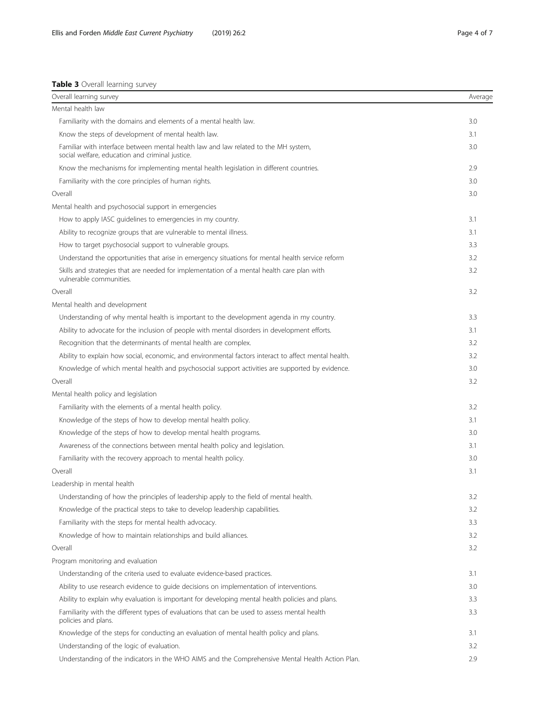## <span id="page-3-0"></span>Table 3 Overall learning survey

| Overall learning survey                                                                                                                | Average |
|----------------------------------------------------------------------------------------------------------------------------------------|---------|
| Mental health law                                                                                                                      |         |
| Familiarity with the domains and elements of a mental health law.                                                                      | 3.0     |
| Know the steps of development of mental health law.                                                                                    | 3.1     |
| Familiar with interface between mental health law and law related to the MH system,<br>social welfare, education and criminal justice. | 3.0     |
| Know the mechanisms for implementing mental health legislation in different countries.                                                 | 2.9     |
| Familiarity with the core principles of human rights.                                                                                  | 3.0     |
| Overall                                                                                                                                | 3.0     |
| Mental health and psychosocial support in emergencies                                                                                  |         |
| How to apply IASC guidelines to emergencies in my country.                                                                             | 3.1     |
| Ability to recognize groups that are vulnerable to mental illness.                                                                     | 3.1     |
| How to target psychosocial support to vulnerable groups.                                                                               | 3.3     |
| Understand the opportunities that arise in emergency situations for mental health service reform                                       | 3.2     |
| Skills and strategies that are needed for implementation of a mental health care plan with<br>vulnerable communities.                  | 3.2     |
| Overall                                                                                                                                | 3.2     |
| Mental health and development                                                                                                          |         |
| Understanding of why mental health is important to the development agenda in my country.                                               | 3.3     |
| Ability to advocate for the inclusion of people with mental disorders in development efforts.                                          | 3.1     |
| Recognition that the determinants of mental health are complex.                                                                        | 3.2     |
| Ability to explain how social, economic, and environmental factors interact to affect mental health.                                   | 3.2     |
| Knowledge of which mental health and psychosocial support activities are supported by evidence.                                        | 3.0     |
| Overall                                                                                                                                | 3.2     |
| Mental health policy and legislation                                                                                                   |         |
| Familiarity with the elements of a mental health policy.                                                                               | 3.2     |
| Knowledge of the steps of how to develop mental health policy.                                                                         | 3.1     |
| Knowledge of the steps of how to develop mental health programs.                                                                       | 3.0     |
| Awareness of the connections between mental health policy and legislation.                                                             | 3.1     |
| Familiarity with the recovery approach to mental health policy.                                                                        | 3.0     |
| Overall                                                                                                                                | 3.1     |
| Leadership in mental health                                                                                                            |         |
| Understanding of how the principles of leadership apply to the field of mental health.                                                 | 3.2     |
| Knowledge of the practical steps to take to develop leadership capabilities.                                                           | 3.2     |
| Familiarity with the steps for mental health advocacy.                                                                                 | 3.3     |
| Knowledge of how to maintain relationships and build alliances.                                                                        | 3.2     |
| Overall                                                                                                                                | 3.2     |
| Program monitoring and evaluation                                                                                                      |         |
| Understanding of the criteria used to evaluate evidence-based practices.                                                               | 3.1     |
| Ability to use research evidence to guide decisions on implementation of interventions.                                                | 3.0     |
| Ability to explain why evaluation is important for developing mental health policies and plans.                                        | 3.3     |
| Familiarity with the different types of evaluations that can be used to assess mental health<br>policies and plans.                    | 3.3     |
| Knowledge of the steps for conducting an evaluation of mental health policy and plans.                                                 | 3.1     |
| Understanding of the logic of evaluation.                                                                                              | 3.2     |
| Understanding of the indicators in the WHO AIMS and the Comprehensive Mental Health Action Plan.                                       | 2.9     |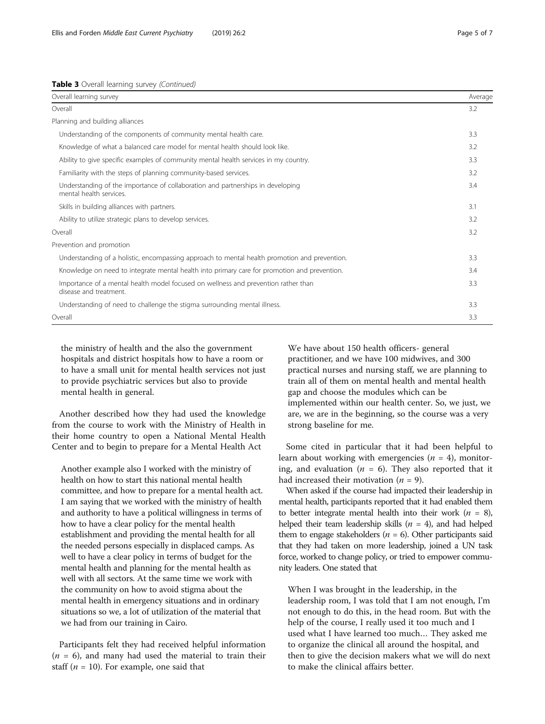| Overall learning survey                                                                                      | Average |
|--------------------------------------------------------------------------------------------------------------|---------|
| Overall                                                                                                      | 3.2     |
| Planning and building alliances                                                                              |         |
| Understanding of the components of community mental health care.                                             | 3.3     |
| Knowledge of what a balanced care model for mental health should look like.                                  | 3.2     |
| Ability to give specific examples of community mental health services in my country.                         | 3.3     |
| Familiarity with the steps of planning community-based services.                                             | 3.2     |
| Understanding of the importance of collaboration and partnerships in developing<br>mental health services.   | 3.4     |
| Skills in building alliances with partners.                                                                  | 3.1     |
| Ability to utilize strategic plans to develop services.                                                      | 3.2     |
| Overall                                                                                                      | 3.2     |
| Prevention and promotion                                                                                     |         |
| Understanding of a holistic, encompassing approach to mental health promotion and prevention.                | 3.3     |
| Knowledge on need to integrate mental health into primary care for promotion and prevention.                 | 3.4     |
| Importance of a mental health model focused on wellness and prevention rather than<br>disease and treatment. | 3.3     |
| Understanding of need to challenge the stigma surrounding mental illness.                                    | 3.3     |
| Overall                                                                                                      | 3.3     |

the ministry of health and the also the government hospitals and district hospitals how to have a room or to have a small unit for mental health services not just to provide psychiatric services but also to provide mental health in general.

Another described how they had used the knowledge from the course to work with the Ministry of Health in their home country to open a National Mental Health Center and to begin to prepare for a Mental Health Act

Another example also I worked with the ministry of health on how to start this national mental health committee, and how to prepare for a mental health act. I am saying that we worked with the ministry of health and authority to have a political willingness in terms of how to have a clear policy for the mental health establishment and providing the mental health for all the needed persons especially in displaced camps. As well to have a clear policy in terms of budget for the mental health and planning for the mental health as well with all sectors. At the same time we work with the community on how to avoid stigma about the mental health in emergency situations and in ordinary situations so we, a lot of utilization of the material that we had from our training in Cairo.

Participants felt they had received helpful information  $(n = 6)$ , and many had used the material to train their staff ( $n = 10$ ). For example, one said that

We have about 150 health officers- general practitioner, and we have 100 midwives, and 300 practical nurses and nursing staff, we are planning to train all of them on mental health and mental health gap and choose the modules which can be implemented within our health center. So, we just, we are, we are in the beginning, so the course was a very strong baseline for me.

Some cited in particular that it had been helpful to learn about working with emergencies  $(n = 4)$ , monitoring, and evaluation ( $n = 6$ ). They also reported that it had increased their motivation ( $n = 9$ ).

When asked if the course had impacted their leadership in mental health, participants reported that it had enabled them to better integrate mental health into their work  $(n = 8)$ , helped their team leadership skills ( $n = 4$ ), and had helped them to engage stakeholders ( $n = 6$ ). Other participants said that they had taken on more leadership, joined a UN task force, worked to change policy, or tried to empower community leaders. One stated that

When I was brought in the leadership, in the leadership room, I was told that I am not enough, I'm not enough to do this, in the head room. But with the help of the course, I really used it too much and I used what I have learned too much… They asked me to organize the clinical all around the hospital, and then to give the decision makers what we will do next to make the clinical affairs better.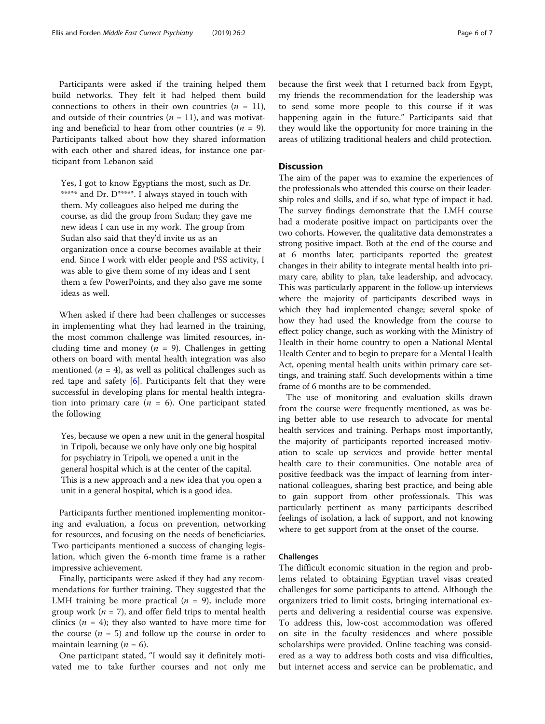Participants were asked if the training helped them build networks. They felt it had helped them build connections to others in their own countries  $(n = 11)$ , and outside of their countries ( $n = 11$ ), and was motivat-

ing and beneficial to hear from other countries ( $n = 9$ ). Participants talked about how they shared information with each other and shared ideas, for instance one participant from Lebanon said

Yes, I got to know Egyptians the most, such as Dr. \*\*\*\*\* and Dr. D\*\*\*\*\*. I always stayed in touch with them. My colleagues also helped me during the course, as did the group from Sudan; they gave me new ideas I can use in my work. The group from Sudan also said that they'd invite us as an organization once a course becomes available at their end. Since I work with elder people and PSS activity, I was able to give them some of my ideas and I sent them a few PowerPoints, and they also gave me some ideas as well.

When asked if there had been challenges or successes in implementing what they had learned in the training, the most common challenge was limited resources, including time and money ( $n = 9$ ). Challenges in getting others on board with mental health integration was also mentioned ( $n = 4$ ), as well as political challenges such as red tape and safety [\[6](#page-6-0)]. Participants felt that they were successful in developing plans for mental health integration into primary care  $(n = 6)$ . One participant stated the following

Yes, because we open a new unit in the general hospital in Tripoli, because we only have only one big hospital for psychiatry in Tripoli, we opened a unit in the general hospital which is at the center of the capital. This is a new approach and a new idea that you open a unit in a general hospital, which is a good idea.

Participants further mentioned implementing monitoring and evaluation, a focus on prevention, networking for resources, and focusing on the needs of beneficiaries. Two participants mentioned a success of changing legislation, which given the 6-month time frame is a rather impressive achievement.

Finally, participants were asked if they had any recommendations for further training. They suggested that the LMH training be more practical  $(n = 9)$ , include more group work ( $n = 7$ ), and offer field trips to mental health clinics ( $n = 4$ ); they also wanted to have more time for the course  $(n = 5)$  and follow up the course in order to maintain learning  $(n = 6)$ .

One participant stated, "I would say it definitely motivated me to take further courses and not only me

because the first week that I returned back from Egypt, my friends the recommendation for the leadership was to send some more people to this course if it was happening again in the future." Participants said that they would like the opportunity for more training in the

areas of utilizing traditional healers and child protection.

#### **Discussion**

The aim of the paper was to examine the experiences of the professionals who attended this course on their leadership roles and skills, and if so, what type of impact it had. The survey findings demonstrate that the LMH course had a moderate positive impact on participants over the two cohorts. However, the qualitative data demonstrates a strong positive impact. Both at the end of the course and at 6 months later, participants reported the greatest changes in their ability to integrate mental health into primary care, ability to plan, take leadership, and advocacy. This was particularly apparent in the follow-up interviews where the majority of participants described ways in which they had implemented change; several spoke of how they had used the knowledge from the course to effect policy change, such as working with the Ministry of Health in their home country to open a National Mental Health Center and to begin to prepare for a Mental Health Act, opening mental health units within primary care settings, and training staff. Such developments within a time frame of 6 months are to be commended.

The use of monitoring and evaluation skills drawn from the course were frequently mentioned, as was being better able to use research to advocate for mental health services and training. Perhaps most importantly, the majority of participants reported increased motivation to scale up services and provide better mental health care to their communities. One notable area of positive feedback was the impact of learning from international colleagues, sharing best practice, and being able to gain support from other professionals. This was particularly pertinent as many participants described feelings of isolation, a lack of support, and not knowing where to get support from at the onset of the course.

#### Challenges

The difficult economic situation in the region and problems related to obtaining Egyptian travel visas created challenges for some participants to attend. Although the organizers tried to limit costs, bringing international experts and delivering a residential course was expensive. To address this, low-cost accommodation was offered on site in the faculty residences and where possible scholarships were provided. Online teaching was considered as a way to address both costs and visa difficulties, but internet access and service can be problematic, and